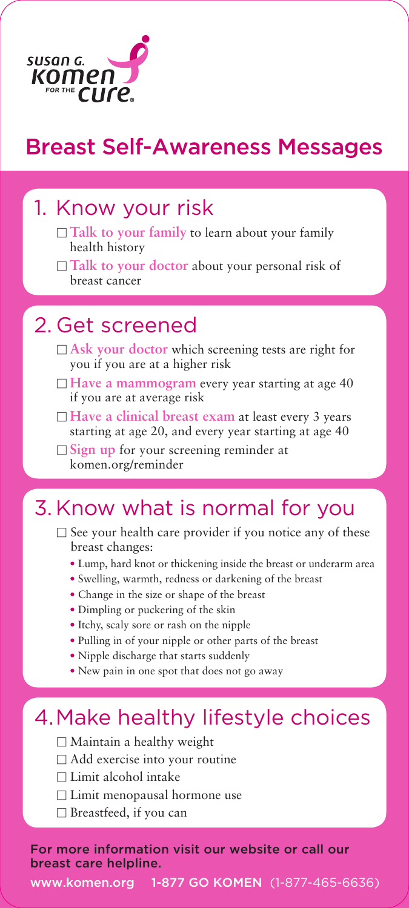

### Breast Self-Awareness Messages

# 1. Know your risk<br>Talk to your family to learn about your family

- health history
- □ **Talk to your doctor** about your personal risk of breast cancer

- 2. Get screened<br> **Bask your doctor** which screening tests are right for you if you are at a higher risk
	- □ **Have a mammogram** every year starting at age 40 if you are at average risk
	- □ Have a clinical breast exam at least every 3 years starting at age 20, and every year starting at age 40
	- □ Sign up for your screening reminder at komen.org/reminder

#### 3. Know what is normal for you

- $\Box$  See your health care provider if you notice any of these breast changes:
	- Lump, hard knot or thickening inside the breast or underarm area
	- Swelling, warmth, redness or darkening of the breast
	- Change in the size or shape of the breast
	- Dimpling or puckering of the skin
	- Itchy, scaly sore or rash on the nipple
	- Pulling in of your nipple or other parts of the breast
	- Nipple discharge that starts suddenly
	- New pain in one spot that does not go away

#### 4. Make healthy lifestyle choices

- $\Box$  Maintain a healthy weight
- $\Box$  Add exercise into your routine
- $\Box$  Limit alcohol intake
- $\Box$  Limit menopausal hormone use
- $\Box$  Breastfeed, if you can

For more information visit our website or call our breast care helpline.

www.komen.org 1-877 GO KOMEN (1-877-465-6636)